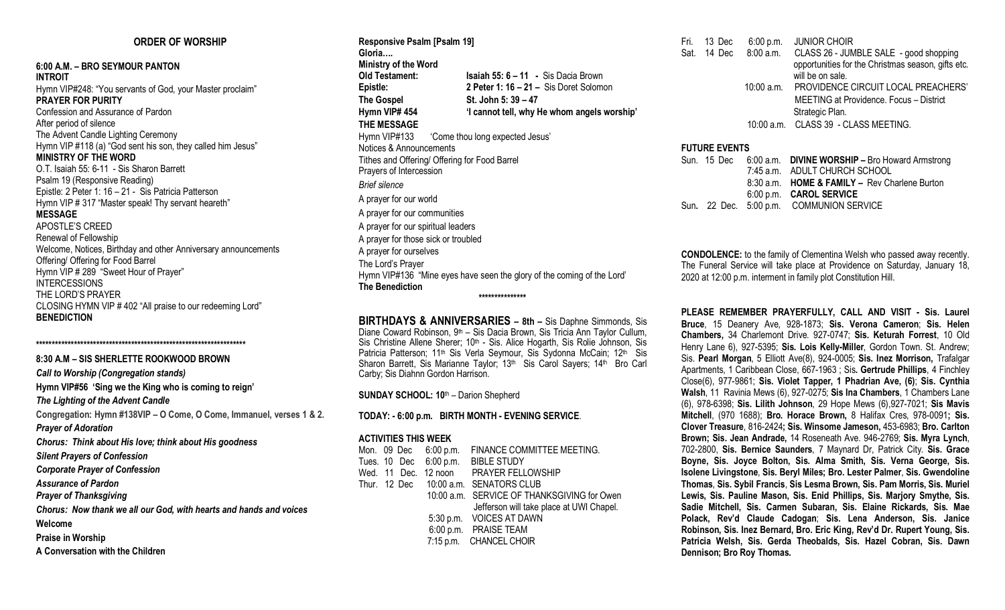## **ORDER OF WORSHIP**

**6:00 A.M. – BRO SEYMOUR PANTON INTROIT** Hymn VIP#248: "You servants of God, your Master proclaim" **PRAYER FOR PURITY** Confession and Assurance of Pardon After period of silence The Advent Candle Lighting Ceremony Hymn VIP #118 (a) "God sent his son, they called him Jesus" **MINISTRY OF THE WORD** O.T. Isaiah 55: 6-11 - Sis Sharon Barrett Psalm 19 (Responsive Reading) Epistle: 2 Peter 1: 16 – 21 - Sis Patricia Patterson Hymn VIP # 317 "Master speak! Thy servant heareth" **MESSAGE** APOSTLE'S CREED Renewal of Fellowship Welcome, Notices, Birthday and other Anniversary announcements Offering/ Offering for Food Barrel Hymn VIP # 289 "Sweet Hour of Prayer" INTERCESSIONS THE LORD'S PRAYER CLOSING HYMN VIP # 402 "All praise to our redeeming Lord" **BENEDICTION**

**\*\*\*\*\*\*\*\*\*\*\*\*\*\*\*\*\*\*\*\*\*\*\*\*\*\*\*\*\*\*\*\*\*\*\*\*\*\*\*\*\*\*\*\*\*\*\*\*\*\*\*\*\*\*\*\*\*\*\*\*\*\*\*\*\*\***

**8:30 A.M – SIS SHERLETTE ROOKWOOD BROWN** *Call to Worship (Congregation stands)* **Hymn VIP#56 'Sing we the King who is coming to reign'** *The Lighting of the Advent Candle* **Congregation: Hymn #138VIP – O Come, O Come, Immanuel, verses 1 & 2.** *Prayer of Adoration Chorus: Think about His love; think about His goodness Silent Prayers of Confession Corporate Prayer of Confession Assurance of Pardon Prayer of Thanksgiving Chorus: Now thank we all our God, with hearts and hands and voices* **Welcome Praise in Worship A Conversation with the Children**

**Responsive Psalm [Psalm 19] Gloria…. Ministry of the Word Old Testament: Isaiah 55: 6 – 11 -** Sis Dacia Brown **Epistle: 2 Peter 1: 16 – 21 –** Sis Doret Solomon **The Gospel St. John 5: 39 – 47 Hymn VIP# 454 'I cannot tell, why He whom angels worship' THE MESSAGE** Hymn VIP#133 (Come thou long expected Jesus' Notices & Announcements Tithes and Offering/ Offering for Food Barrel Prayers of Intercession *Brief silence* A prayer for our world A prayer for our communities A prayer for our spiritual leaders A prayer for those sick or troubled A prayer for ourselves The Lord's Prayer Hymn VIP#136 "Mine eyes have seen the glory of the coming of the Lord' **The Benediction \*\*\*\*\*\*\*\*\*\*\*\*\*\*\***

**BIRTHDAYS & ANNIVERSARIES – 8th –** Sis Daphne Simmonds, Sis Diane Coward Robinson, 9<sup>th</sup> – Sis Dacia Brown, Sis Tricia Ann Taylor Cullum, Sis Christine Allene Sherer: 10<sup>th</sup> - Sis. Alice Hogarth, Sis Rolie Johnson, Sis Patricia Patterson; 11<sup>th</sup> Sis Verla Seymour, Sis Sydonna McCain; 12<sup>th</sup> Sis Sharon Barrett, Sis Marianne Taylor; 13th Sis Carol Sayers; 14th Bro Carl Carby; Sis Diahnn Gordon Harrison.

**SUNDAY SCHOOL: 10**th – Darion Shepherd

**TODAY: - 6:00 p.m. BIRTH MONTH - EVENING SERVICE**.

#### **ACTIVITIES THIS WEEK**

|  | Mon. 09 Dec 6:00 p.m. | FINANCE COMMITTEE MEETING.                  |
|--|-----------------------|---------------------------------------------|
|  |                       | Tues. 10 Dec 6:00 p.m. BIBLE STUDY          |
|  |                       | Wed. 11 Dec. 12 noon PRAYER FELLOWSHIP      |
|  |                       | Thur. 12 Dec 10:00 a.m. SENATORS CLUB       |
|  |                       | 10:00 a.m. SERVICE OF THANKSGIVING for Owen |
|  |                       | Jefferson will take place at UWI Chapel.    |
|  |                       | 5:30 p.m. VOICES AT DAWN                    |
|  |                       | 6:00 p.m. PRAISE TEAM                       |
|  |                       | 7:15 p.m. CHANCEL CHOIR                     |
|  |                       |                                             |

Fri. 13 Dec 6:00 p.m. JUNIOR CHOIR Sat. 14 Dec 8:00 a.m. CLASS 26 - JUMBLE SALE - good shopping opportunities for the Christmas season, gifts etc. will be on sale. 10:00 a.m. PROVIDENCE CIRCUIT LOCAL PREACHERS' MEETING at Providence. Focus – District Strategic Plan. 10:00 a.m. CLASS 39 - CLASS MEETING.

## **FUTURE EVENTS**

|  | Sun. 15 Dec 6:00 a.m. DIVINE WORSHIP - Bro Howard Armstrong |
|--|-------------------------------------------------------------|
|  | 7:45 a.m. ADULT CHURCH SCHOOL                               |
|  | 8:30 a.m. <b>HOME &amp; FAMILY - Rev Charlene Burton</b>    |
|  | 6:00 p.m. CAROL SERVICE                                     |
|  | Sun. 22 Dec. 5:00 p.m. COMMUNION SERVICE                    |

**CONDOLENCE:** to the family of Clementina Welsh who passed away recently. The Funeral Service will take place at Providence on Saturday, January 18, 2020 at 12:00 p.m. interment in family plot Constitution Hill.

**PLEASE REMEMBER PRAYERFULLY, CALL AND VISIT - Sis. Laurel Bruce**, 15 Deanery Ave, 928-1873; **Sis. Verona Cameron**; **Sis. Helen Chambers,** 34 Charlemont Drive. 927-0747; **Sis. Keturah Forrest**, 10 Old Henry Lane 6), 927-5395; **Sis. Lois Kelly-Miller**, Gordon Town. St. Andrew; Sis. **Pearl Morgan**, 5 Elliott Ave(8), 924-0005; **Sis. Inez Morrison,** Trafalgar Apartments, 1 Caribbean Close, 667-1963 ; Sis**. Gertrude Phillips**, 4 Finchley Close(6), 977-9861; **Sis. Violet Tapper, 1 Phadrian Ave, (6)**; **Sis. Cynthia Walsh**, 11 Ravinia Mews (6), 927-0275; **Sis Ina Chambers**, 1 Chambers Lane (6), 978-6398; **Sis. Lilith Johnson**, 29 Hope Mews (6),927-7021; **Sis Mavis Mitchell**, (970 1688); **Bro. Horace Brown,** 8 Halifax Cres, 978-0091**; Sis. Clover Treasure**, 816-2424**; Sis. Winsome Jameson,** 453-6983; **Bro. Carlton Brown; Sis. Jean Andrade,** 14 Roseneath Ave. 946-2769; **Sis. Myra Lynch**, 702-2800, **Sis. Bernice Saunders**, 7 Maynard Dr, Patrick City. **Sis. Grace Boyne, Sis. Joyce Bolton, Sis. Alma Smith, Sis. Verna George, Sis. Isolene Livingstone**, **Sis. Beryl Miles; Bro. Lester Palmer**, **Sis. Gwendoline Thomas**, **Sis. Sybil Francis**, **Sis Lesma Brown, Sis. Pam Morris, Sis. Muriel Lewis, Sis. Pauline Mason, Sis. Enid Phillips, Sis. Marjory Smythe, Sis. Sadie Mitchell, Sis. Carmen Subaran, Sis. Elaine Rickards, Sis. Mae Polack, Rev'd Claude Cadogan**; **Sis. Lena Anderson, Sis. Janice Robinson, Sis. Inez Bernard, Bro. Eric King, Rev'd Dr. Rupert Young, Sis. Patricia Welsh, Sis. Gerda Theobalds, Sis. Hazel Cobran, Sis. Dawn Dennison; Bro Roy Thomas.**